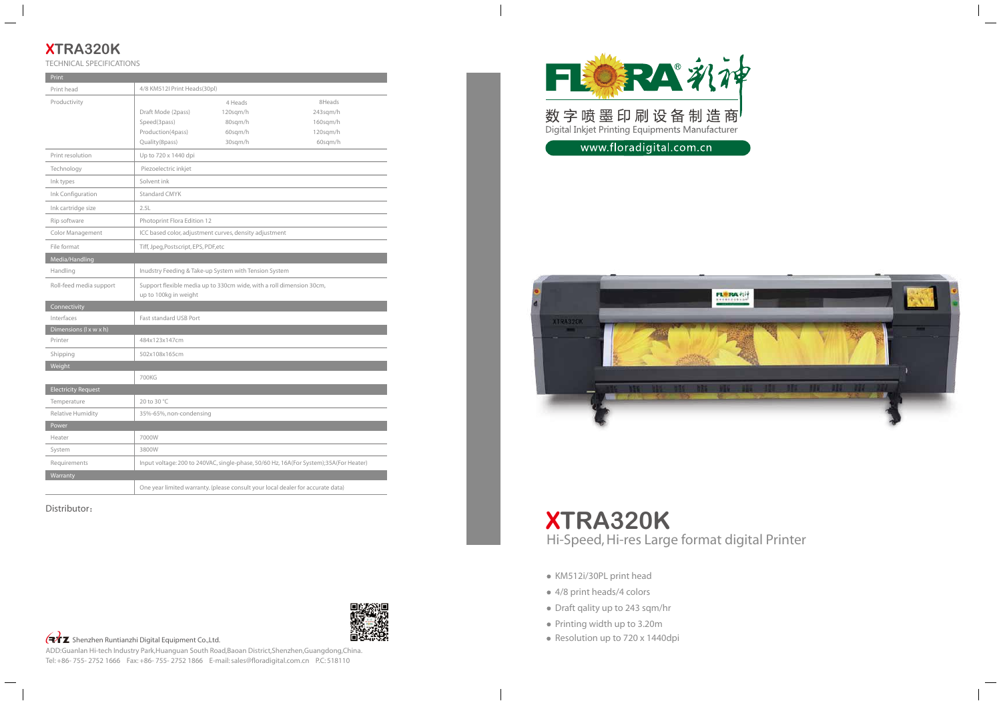# **XTRA320K**

| Print                      |                                                                                               |                                                                                 |                                                                                       |  |
|----------------------------|-----------------------------------------------------------------------------------------------|---------------------------------------------------------------------------------|---------------------------------------------------------------------------------------|--|
| Print head                 | 4/8 KM512I Print Heads(30pl)                                                                  |                                                                                 |                                                                                       |  |
| Productivity               |                                                                                               | 4 Heads                                                                         | 8Heads                                                                                |  |
|                            | Draft Mode (2pass)                                                                            | 120sqm/h                                                                        | 243sqm/h                                                                              |  |
|                            | Speed(3pass)                                                                                  | 80sqm/h                                                                         | $160$ sqm/h                                                                           |  |
|                            | Production(4pass)                                                                             | 60sqm/h                                                                         | 120sqm/h                                                                              |  |
|                            | Quality(8pass)                                                                                | 30sqm/h                                                                         | 60sqm/h                                                                               |  |
| Print resolution           | Up to 720 x 1440 dpi                                                                          |                                                                                 |                                                                                       |  |
| Technology                 | Piezoelectric inkjet                                                                          |                                                                                 |                                                                                       |  |
| Ink types                  | Solvent ink                                                                                   |                                                                                 |                                                                                       |  |
| Ink Configuration          | <b>Standard CMYK</b>                                                                          |                                                                                 |                                                                                       |  |
| Ink cartridge size         | 2.5L                                                                                          |                                                                                 |                                                                                       |  |
| Rip software               | Photoprint Flora Edition 12                                                                   |                                                                                 |                                                                                       |  |
| Color Management           |                                                                                               | ICC based color, adjustment curves, density adjustment                          |                                                                                       |  |
| File format                | Tiff, Jpeg, Postscript, EPS, PDF, etc                                                         |                                                                                 |                                                                                       |  |
| Media/Handling             |                                                                                               |                                                                                 |                                                                                       |  |
| Handling                   | Inudstry Feeding & Take-up System with Tension System                                         |                                                                                 |                                                                                       |  |
| Roll-feed media support    | Support flexible media up to 330cm wide, with a roll dimension 30cm,<br>up to 100kg in weight |                                                                                 |                                                                                       |  |
| Connectivity               |                                                                                               |                                                                                 |                                                                                       |  |
| Interfaces                 | <b>Fast standard USB Port</b>                                                                 |                                                                                 |                                                                                       |  |
| Dimensions (I x w x h)     |                                                                                               |                                                                                 |                                                                                       |  |
| Printer                    | 484x123x147cm                                                                                 |                                                                                 |                                                                                       |  |
| Shipping                   | 502x108x165cm                                                                                 |                                                                                 |                                                                                       |  |
| Weight                     |                                                                                               |                                                                                 |                                                                                       |  |
|                            | 700KG                                                                                         |                                                                                 |                                                                                       |  |
| <b>Electricity Request</b> |                                                                                               |                                                                                 |                                                                                       |  |
| Temperature                | 20 to 30 °C                                                                                   |                                                                                 |                                                                                       |  |
| <b>Relative Humidity</b>   | 35%-65%, non-condensing                                                                       |                                                                                 |                                                                                       |  |
| Power                      |                                                                                               |                                                                                 |                                                                                       |  |
| Heater                     | 7000W                                                                                         |                                                                                 |                                                                                       |  |
| System                     | 3800W                                                                                         |                                                                                 |                                                                                       |  |
| Requirements               |                                                                                               |                                                                                 | Input voltage: 200 to 240VAC, single-phase, 50/60 Hz, 16A(For System);35A(For Heater) |  |
| Warranty                   |                                                                                               |                                                                                 |                                                                                       |  |
|                            |                                                                                               | One year limited warranty. (please consult your local dealer for accurate data) |                                                                                       |  |

TECHNICAL SPECIFICATIONS

**XTRA320K** Hi-Speed, Hi-res Large format digital Printer

- KM512i/30PL print head
- 4/8 print heads/4 colors
- Draft qality up to 243 sqm/hr
- Printing width up to 3.20m
- 



ADD:Guanlan Hi-tech Industry Park,Huanguan South Road,Baoan District,Shenzhen,Guangdong,China. Tel: +86- 755- 2752 1666 Fax: +86- 755- 2752 1866 E-mail: sales@floradigital.com.cn P.C: 518110



数字喷墨印刷设备制造商<sup>】</sup><br>Digital Inkjet Printing Equipments Manufacturer

www.floradigital.com.cn



Distributor:

<del>(マ</del>イエ Shenzhen Runtianzhi Digital Equipment Co.,Ltd. Resolution up to 720 x 1440dpi